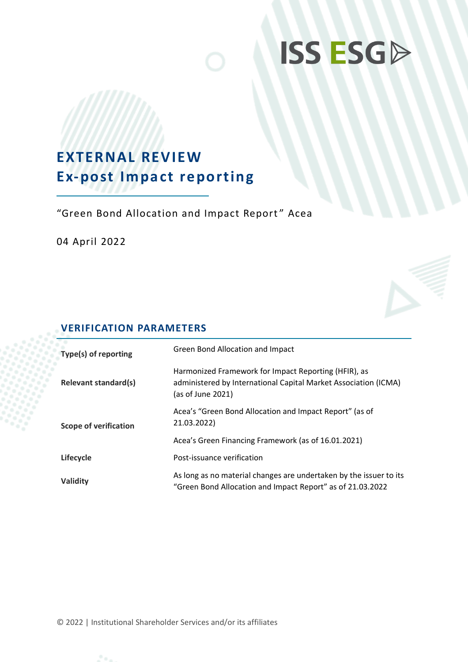# **ISS ESGP**

## **EXTERNAL REVIEW Ex-post Impact reporting**

"Green Bond Allocation and Impact Report " Acea

04 April 2022

### **VERIFICATION PARAMETERS**

| Type(s) of reporting         | Green Bond Allocation and Impact                                                                                                             |
|------------------------------|----------------------------------------------------------------------------------------------------------------------------------------------|
| <b>Relevant standard(s)</b>  | Harmonized Framework for Impact Reporting (HFIR), as<br>administered by International Capital Market Association (ICMA)<br>(as of June 2021) |
| <b>Scope of verification</b> | Acea's "Green Bond Allocation and Impact Report" (as of<br>21.03.2022)                                                                       |
|                              | Acea's Green Financing Framework (as of 16.01.2021)                                                                                          |
| Lifecycle                    | Post-issuance verification                                                                                                                   |
| Validity                     | As long as no material changes are undertaken by the issuer to its<br>"Green Bond Allocation and Impact Report" as of 21.03.2022             |

© 2022 | Institutional Shareholder Services and/or its affiliates

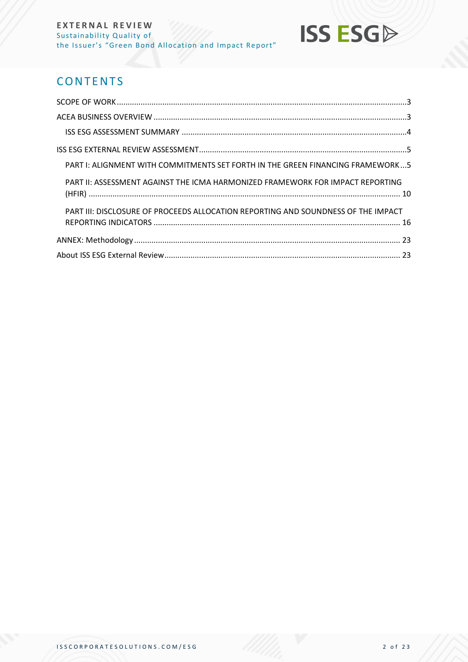## **ISS ESG**

## **CONTENTS**

| PART I: ALIGNMENT WITH COMMITMENTS SET FORTH IN THE GREEN FINANCING FRAMEWORK5    |  |
|-----------------------------------------------------------------------------------|--|
| PART II: ASSESSMENT AGAINST THE ICMA HARMONIZED FRAMEWORK FOR IMPACT REPORTING    |  |
| PART III: DISCLOSURE OF PROCEEDS ALLOCATION REPORTING AND SOUNDNESS OF THE IMPACT |  |
|                                                                                   |  |
|                                                                                   |  |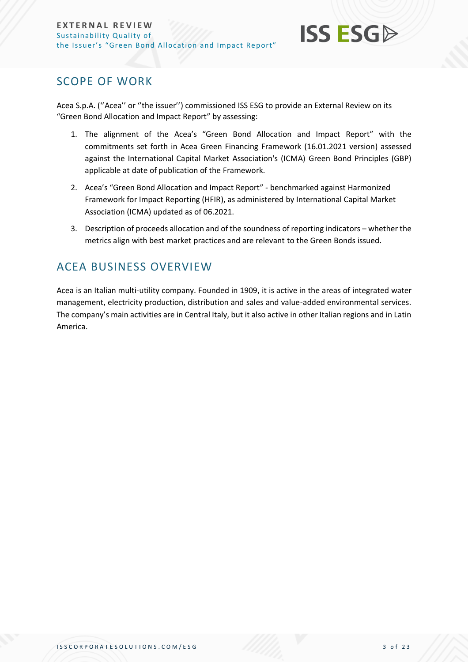## **ISS ESG**

## <span id="page-2-0"></span>SCOPE OF WORK

Acea S.p.A. (''Acea'' or ''the issuer'') commissioned ISS ESG to provide an External Review on its "Green Bond Allocation and Impact Report" by assessing:

- 1. The alignment of the Acea's "Green Bond Allocation and Impact Report" with the commitments set forth in Acea Green Financing Framework (16.01.2021 version) assessed against the International Capital Market Association's (ICMA) Green Bond Principles (GBP) applicable at date of publication of the Framework.
- 2. Acea's "Green Bond Allocation and Impact Report" benchmarked against Harmonized Framework for Impact Reporting (HFIR), as administered by International Capital Market Association (ICMA) updated as of 06.2021.
- 3. Description of proceeds allocation and of the soundness of reporting indicators whether the metrics align with best market practices and are relevant to the Green Bonds issued.

## <span id="page-2-1"></span>ACEA BUSINESS OVERVIEW

Acea is an Italian multi-utility company. Founded in 1909, it is active in the areas of integrated water management, electricity production, distribution and sales and value-added environmental services. The company's main activities are in Central Italy, but it also active in other Italian regions and in Latin America.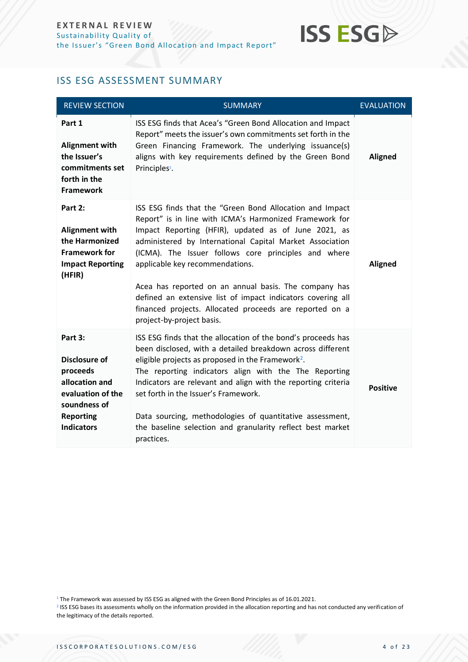

#### <span id="page-3-0"></span>ISS ESG ASSESSMENT SUMMARY

| <b>REVIEW SECTION</b>                                                                                                                | <b>SUMMARY</b>                                                                                                                                                                                                                                                                                                                                                                                                                                                                                                                                     | <b>EVALUATION</b> |
|--------------------------------------------------------------------------------------------------------------------------------------|----------------------------------------------------------------------------------------------------------------------------------------------------------------------------------------------------------------------------------------------------------------------------------------------------------------------------------------------------------------------------------------------------------------------------------------------------------------------------------------------------------------------------------------------------|-------------------|
| Part 1<br><b>Alignment with</b><br>the Issuer's<br>commitments set<br>forth in the<br><b>Framework</b>                               | ISS ESG finds that Acea's "Green Bond Allocation and Impact<br>Report" meets the issuer's own commitments set forth in the<br>Green Financing Framework. The underlying issuance(s)<br>aligns with key requirements defined by the Green Bond<br>Principles <sup>1</sup> .                                                                                                                                                                                                                                                                         | <b>Aligned</b>    |
| Part 2:<br><b>Alignment with</b><br>the Harmonized<br><b>Framework for</b><br><b>Impact Reporting</b><br>(HFIR)                      | ISS ESG finds that the "Green Bond Allocation and Impact<br>Report" is in line with ICMA's Harmonized Framework for<br>Impact Reporting (HFIR), updated as of June 2021, as<br>administered by International Capital Market Association<br>(ICMA). The Issuer follows core principles and where<br>applicable key recommendations.<br>Acea has reported on an annual basis. The company has<br>defined an extensive list of impact indicators covering all<br>financed projects. Allocated proceeds are reported on a<br>project-by-project basis. | <b>Aligned</b>    |
| Part 3:<br>Disclosure of<br>proceeds<br>allocation and<br>evaluation of the<br>soundness of<br><b>Reporting</b><br><b>Indicators</b> | ISS ESG finds that the allocation of the bond's proceeds has<br>been disclosed, with a detailed breakdown across different<br>eligible projects as proposed in the Framework <sup>2</sup> .<br>The reporting indicators align with the The Reporting<br>Indicators are relevant and align with the reporting criteria<br>set forth in the Issuer's Framework.<br>Data sourcing, methodologies of quantitative assessment,<br>the baseline selection and granularity reflect best market<br>practices.                                              | <b>Positive</b>   |

<sup>&</sup>lt;sup>1</sup> The Framework was assessed by ISS ESG as aligned with the Green Bond Principles as of 16.01.2021.

<sup>&</sup>lt;sup>2</sup> ISS ESG bases its assessments wholly on the information provided in the allocation reporting and has not conducted any verification of the legitimacy of the details reported.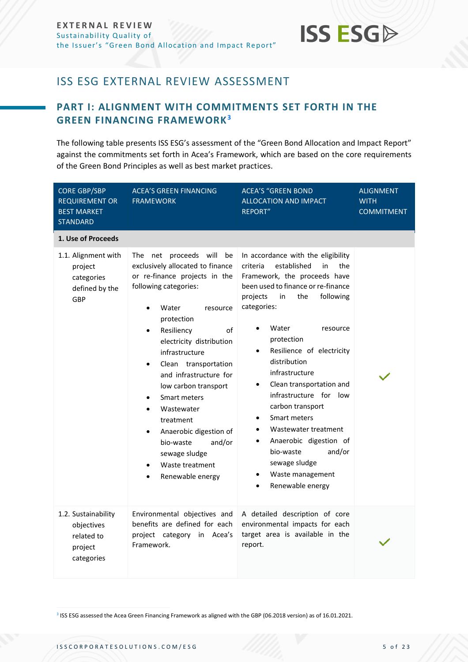

## <span id="page-4-0"></span>ISS ESG EXTERNAL REVIEW ASSESSMENT

### <span id="page-4-1"></span>**PART I: ALIGNMENT WITH COMMITMENTS SET FORTH IN THE GREEN FINANCING FRAMEWORK<sup>3</sup>**

The following table presents ISS ESG's assessment of the "Green Bond Allocation and Impact Report" against the commitments set forth in Acea's Framework, which are based on the core requirements of the Green Bond Principles as well as best market practices.

| <b>CORE GBP/SBP</b><br><b>REQUIREMENT OR</b><br><b>BEST MARKET</b><br><b>STANDARD</b> | <b>ACEA'S GREEN FINANCING</b><br><b>FRAMEWORK</b>                                                                                                                                                                                                                                                                                                                                                                                                                                                   | <b>ACEA'S "GREEN BOND</b><br><b>ALLOCATION AND IMPACT</b><br><b>REPORT"</b>                                                                                                                                                                                                                                                                                                                                                                                                                                                                                                                                    | <b>ALIGNMENT</b><br><b>WITH</b><br><b>COMMITMENT</b> |
|---------------------------------------------------------------------------------------|-----------------------------------------------------------------------------------------------------------------------------------------------------------------------------------------------------------------------------------------------------------------------------------------------------------------------------------------------------------------------------------------------------------------------------------------------------------------------------------------------------|----------------------------------------------------------------------------------------------------------------------------------------------------------------------------------------------------------------------------------------------------------------------------------------------------------------------------------------------------------------------------------------------------------------------------------------------------------------------------------------------------------------------------------------------------------------------------------------------------------------|------------------------------------------------------|
| 1. Use of Proceeds                                                                    |                                                                                                                                                                                                                                                                                                                                                                                                                                                                                                     |                                                                                                                                                                                                                                                                                                                                                                                                                                                                                                                                                                                                                |                                                      |
| 1.1. Alignment with<br>project<br>categories<br>defined by the<br>GBP                 | The net proceeds will<br>be<br>exclusively allocated to finance<br>or re-finance projects in the<br>following categories:<br>Water<br>resource<br>protection<br>Resiliency<br>of<br>$\bullet$<br>electricity distribution<br>infrastructure<br>Clean transportation<br>and infrastructure for<br>low carbon transport<br>Smart meters<br>$\bullet$<br>Wastewater<br>$\bullet$<br>treatment<br>Anaerobic digestion of<br>and/or<br>bio-waste<br>sewage sludge<br>Waste treatment<br>Renewable energy | In accordance with the eligibility<br>established<br>in<br>criteria<br>the<br>Framework, the proceeds have<br>been used to finance or re-finance<br>projects<br>in<br>the<br>following<br>categories:<br>Water<br>resource<br>protection<br>Resilience of electricity<br>$\bullet$<br>distribution<br>infrastructure<br>Clean transportation and<br>٠<br>infrastructure for low<br>carbon transport<br>Smart meters<br>$\bullet$<br>Wastewater treatment<br>$\bullet$<br>Anaerobic digestion of<br>$\bullet$<br>bio-waste<br>and/or<br>sewage sludge<br>Waste management<br>٠<br>Renewable energy<br>$\bullet$ |                                                      |
| 1.2. Sustainability<br>objectives<br>related to<br>project<br>categories              | Environmental objectives and<br>benefits are defined for each<br>project category in Acea's<br>Framework.                                                                                                                                                                                                                                                                                                                                                                                           | A detailed description of core<br>environmental impacts for each<br>target area is available in the<br>report.                                                                                                                                                                                                                                                                                                                                                                                                                                                                                                 |                                                      |

<sup>3</sup> ISS ESG assessed the Acea Green Financing Framework as aligned with the GBP (06.2018 version) as of 16.01.2021.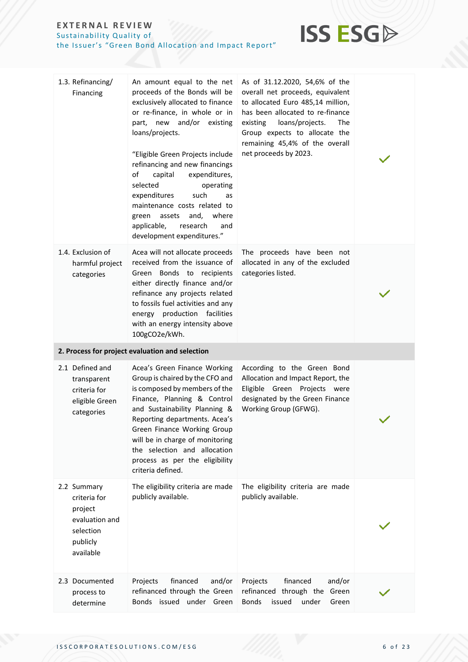

| 1.3. Refinancing/<br>Financing                                                                 | An amount equal to the net<br>proceeds of the Bonds will be<br>exclusively allocated to finance<br>or re-finance, in whole or in<br>part, new and/or existing<br>loans/projects.<br>"Eligible Green Projects include<br>refinancing and new financings<br>of<br>expenditures,<br>capital<br>selected<br>operating<br>expenditures<br>such<br>as<br>maintenance costs related to<br>and,<br>where<br>green<br>assets<br>applicable,<br>research<br>and<br>development expenditures." | As of 31.12.2020, 54,6% of the<br>overall net proceeds, equivalent<br>to allocated Euro 485,14 million,<br>has been allocated to re-finance<br>existing<br>loans/projects.<br>The<br>Group expects to allocate the<br>remaining 45,4% of the overall<br>net proceeds by 2023. |  |
|------------------------------------------------------------------------------------------------|-------------------------------------------------------------------------------------------------------------------------------------------------------------------------------------------------------------------------------------------------------------------------------------------------------------------------------------------------------------------------------------------------------------------------------------------------------------------------------------|-------------------------------------------------------------------------------------------------------------------------------------------------------------------------------------------------------------------------------------------------------------------------------|--|
| 1.4. Exclusion of<br>harmful project<br>categories                                             | Acea will not allocate proceeds<br>received from the issuance of<br>Green Bonds to recipients<br>either directly finance and/or<br>refinance any projects related<br>to fossils fuel activities and any<br>energy production facilities<br>with an energy intensity above<br>100gCO2e/kWh.                                                                                                                                                                                          | The proceeds have been not<br>allocated in any of the excluded<br>categories listed.                                                                                                                                                                                          |  |
|                                                                                                | 2. Process for project evaluation and selection                                                                                                                                                                                                                                                                                                                                                                                                                                     |                                                                                                                                                                                                                                                                               |  |
| 2.1 Defined and<br>transparent<br>criteria for<br>eligible Green<br>categories                 | Acea's Green Finance Working<br>Group is chaired by the CFO and<br>is composed by members of the<br>Finance, Planning & Control<br>and Sustainability Planning &<br>Reporting departments. Acea's<br>Green Finance Working Group<br>will be in charge of monitoring<br>the selection and allocation<br>process as per the eligibility<br>criteria defined.                                                                                                                          | According to the Green Bond<br>Allocation and Impact Report, the<br>Eligible Green Projects were<br>designated by the Green Finance<br>Working Group (GFWG).                                                                                                                  |  |
| 2.2 Summary<br>criteria for<br>project<br>evaluation and<br>selection<br>publicly<br>available | The eligibility criteria are made<br>publicly available.                                                                                                                                                                                                                                                                                                                                                                                                                            | The eligibility criteria are made<br>publicly available.                                                                                                                                                                                                                      |  |
| 2.3 Documented<br>process to<br>determine                                                      | financed<br>Projects<br>and/or<br>refinanced through the Green<br>Bonds issued under Green                                                                                                                                                                                                                                                                                                                                                                                          | financed<br>and/or<br>Projects<br>refinanced through the<br>Green<br><b>Bonds</b><br>issued<br>under<br>Green                                                                                                                                                                 |  |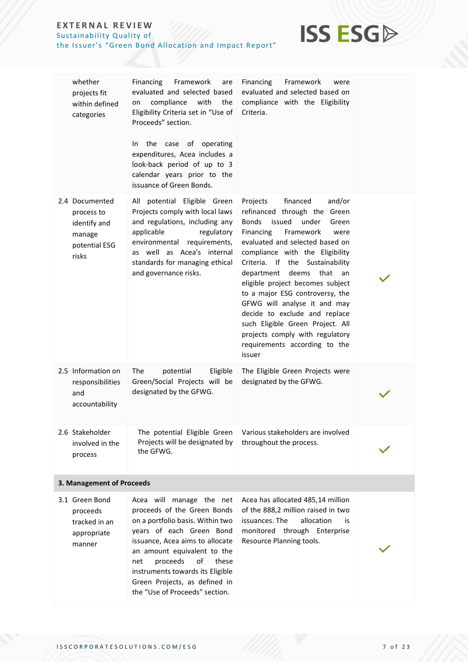## **ISS ESG**

| whether<br>projects fit<br>within defined<br>categories                          | Financing<br>Framework<br>are<br>evaluated and selected based<br>compliance<br>with<br>the<br>on<br>Eligibility Criteria set in "Use of<br>Proceeds" section.<br>the case of operating<br>In.<br>expenditures, Acea includes a<br>look-back period of up to 3<br>calendar years prior to the<br>issuance of Green Bonds. | Financing<br>Framework<br>were<br>evaluated and selected based on<br>compliance with the Eligibility<br>Criteria.                                                                                                                                                                                                                                                                                                                                                                                                                                          |  |
|----------------------------------------------------------------------------------|--------------------------------------------------------------------------------------------------------------------------------------------------------------------------------------------------------------------------------------------------------------------------------------------------------------------------|------------------------------------------------------------------------------------------------------------------------------------------------------------------------------------------------------------------------------------------------------------------------------------------------------------------------------------------------------------------------------------------------------------------------------------------------------------------------------------------------------------------------------------------------------------|--|
| 2.4 Documented<br>process to<br>identify and<br>manage<br>potential ESG<br>risks | All potential Eligible Green<br>Projects comply with local laws<br>and regulations, including any<br>applicable<br>regulatory<br>environmental<br>requirements,<br>as well as Acea's internal<br>standards for managing ethical<br>and governance risks.                                                                 | financed<br>Projects<br>and/or<br>refinanced through the Green<br><b>Bonds</b><br>issued<br>under<br>Green<br>Financing<br>Framework<br>were<br>evaluated and selected based on<br>compliance with the Eligibility<br>Criteria. If<br>the<br>Sustainability<br>that<br>department<br>deems<br>an<br>eligible project becomes subject<br>to a major ESG controversy, the<br>GFWG will analyse it and may<br>decide to exclude and replace<br>such Eligible Green Project. All<br>projects comply with regulatory<br>requirements according to the<br>issuer |  |
| 2.5 Information on<br>responsibilities<br>and<br>accountability                  | <b>The</b><br>potential<br>Eligible<br>Green/Social Projects will be<br>designated by the GFWG.                                                                                                                                                                                                                          | The Eligible Green Projects were<br>designated by the GFWG.                                                                                                                                                                                                                                                                                                                                                                                                                                                                                                |  |
| 2.6 Stakeholder<br>involved in the<br>process                                    | The potential Eligible Green<br>Projects will be designated by<br>the GFWG.                                                                                                                                                                                                                                              | Various stakeholders are involved<br>throughout the process.                                                                                                                                                                                                                                                                                                                                                                                                                                                                                               |  |
| 3. Management of Proceeds                                                        |                                                                                                                                                                                                                                                                                                                          |                                                                                                                                                                                                                                                                                                                                                                                                                                                                                                                                                            |  |
| 3.1 Green Bond<br>proceeds<br>tracked in an<br>appropriate<br>manner             | Acea will manage the net<br>proceeds of the Green Bonds<br>on a portfolio basis. Within two<br>years of each Green Bond<br>issuance, Acea aims to allocate<br>an amount equivalent to the                                                                                                                                | Acea has allocated 485,14 million<br>of the 888,2 million raised in two<br>issuances. The<br>allocation<br>is<br>monitored through Enterprise<br>Resource Planning tools.                                                                                                                                                                                                                                                                                                                                                                                  |  |

net proceeds of these instruments towards its Eligible Green Projects, as defined in the "Use of Proceeds" section.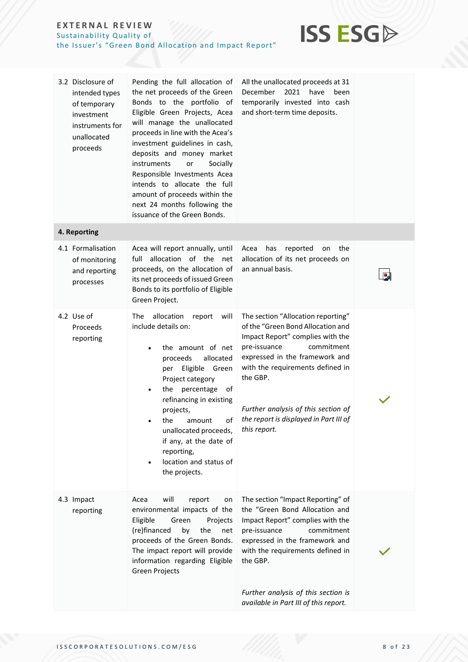

| 3.2 Disclosure of<br>intended types<br>of temporary<br>investment<br>instruments for<br>unallocated<br>proceeds | Pending the full allocation of<br>the net proceeds of the Green<br>Bonds to the portfolio of<br>Eligible Green Projects, Acea<br>will manage the unallocated<br>proceeds in line with the Acea's<br>investment guidelines in cash,<br>deposits and money market<br>instruments<br>or<br>Socially<br>Responsible Investments Acea<br>intends to allocate the full<br>amount of proceeds within the<br>next 24 months following the<br>issuance of the Green Bonds. | All the unallocated proceeds at 31<br>December<br>2021<br>have<br>been<br>temporarily invested into cash<br>and short-term time deposits.                                                                                                                                                                                    |  |
|-----------------------------------------------------------------------------------------------------------------|-------------------------------------------------------------------------------------------------------------------------------------------------------------------------------------------------------------------------------------------------------------------------------------------------------------------------------------------------------------------------------------------------------------------------------------------------------------------|------------------------------------------------------------------------------------------------------------------------------------------------------------------------------------------------------------------------------------------------------------------------------------------------------------------------------|--|
| 4. Reporting                                                                                                    |                                                                                                                                                                                                                                                                                                                                                                                                                                                                   |                                                                                                                                                                                                                                                                                                                              |  |
| 4.1 Formalisation<br>of monitoring<br>and reporting<br>processes                                                | Acea will report annually, until<br>allocation of the<br>full<br>net<br>proceeds, on the allocation of<br>its net proceeds of issued Green<br>Bonds to its portfolio of Eligible<br>Green Project.                                                                                                                                                                                                                                                                | has<br>reported<br>the<br>Acea<br>on<br>allocation of its net proceeds on<br>an annual basis.                                                                                                                                                                                                                                |  |
| 4.2 Use of<br>Proceeds<br>reporting                                                                             | allocation<br>The<br>report<br>will<br>include details on:<br>the amount of net<br>allocated<br>proceeds<br>Eligible<br>Green<br>per<br>Project category<br>the percentage<br>ot<br>refinancing in existing<br>projects,<br>οf<br>the<br>amount<br>unallocated proceeds,<br>if any, at the date of<br>reporting,<br>location and status of<br>the projects.                                                                                                       | The section "Allocation reporting"<br>of the "Green Bond Allocation and<br>Impact Report" complies with the<br>commitment<br>pre-issuance<br>expressed in the framework and<br>with the requirements defined in<br>the GBP.<br>Further analysis of this section of<br>the report is displayed in Part III of<br>this report. |  |
| 4.3 Impact<br>reporting                                                                                         | will<br>Acea<br>report<br>on<br>environmental impacts of the<br>Eligible<br>Green<br>Projects<br>(re)financed<br>by<br>the<br>net<br>proceeds of the Green Bonds.<br>The impact report will provide<br>information regarding Eligible<br>Green Projects                                                                                                                                                                                                           | The section "Impact Reporting" of<br>the "Green Bond Allocation and<br>Impact Report" complies with the<br>commitment<br>pre-issuance<br>expressed in the framework and<br>with the requirements defined in<br>the GBP.<br>Further analysis of this section is<br>available in Part III of this report.                      |  |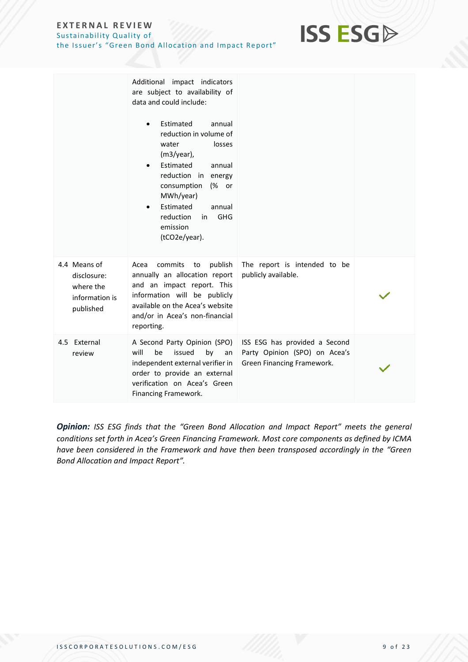

|                                                                         | Additional impact indicators<br>are subject to availability of<br>data and could include:<br>Estimated<br>annual<br>$\bullet$<br>reduction in volume of<br>water<br>losses<br>$(m3/year)$ ,<br>Estimated<br>annual<br>reduction in energy<br>consumption<br>(% or<br>MWh/year)<br>Estimated<br>annual<br>reduction<br><b>GHG</b><br>in.<br>emission<br>(tCO2e/year). |                                                                                              |  |
|-------------------------------------------------------------------------|----------------------------------------------------------------------------------------------------------------------------------------------------------------------------------------------------------------------------------------------------------------------------------------------------------------------------------------------------------------------|----------------------------------------------------------------------------------------------|--|
| 4.4 Means of<br>disclosure:<br>where the<br>information is<br>published | publish<br>commits<br>Acea<br>to<br>annually an allocation report<br>and an impact report. This<br>information will be publicly<br>available on the Acea's website<br>and/or in Acea's non-financial<br>reporting.                                                                                                                                                   | The report is intended to be<br>publicly available.                                          |  |
| 4.5 External<br>review                                                  | A Second Party Opinion (SPO)<br>will<br>be<br>issued<br>by<br>an<br>independent external verifier in<br>order to provide an external<br>verification on Acea's Green<br>Financing Framework.                                                                                                                                                                         | ISS ESG has provided a Second<br>Party Opinion (SPO) on Acea's<br>Green Financing Framework. |  |

*Opinion: ISS ESG finds that the "Green Bond Allocation and Impact Report" meets the general conditions set forth in Acea's Green Financing Framework. Most core components as defined by ICMA have been considered in the Framework and have then been transposed accordingly in the "Green Bond Allocation and Impact Report".*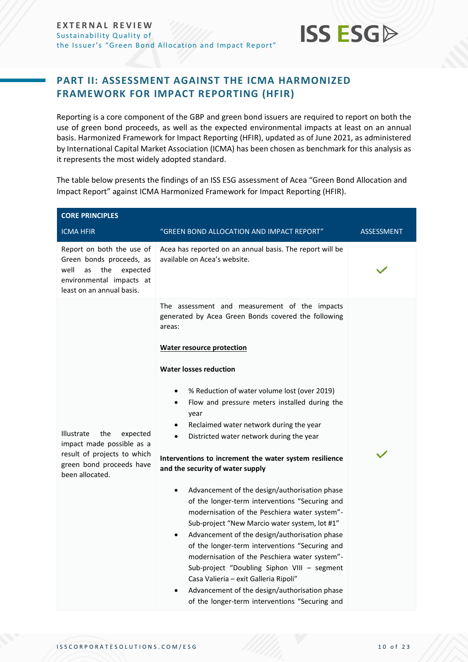

### <span id="page-9-0"></span>**PART II: ASSESSMENT AGAINST THE ICMA HARMONIZED FRAMEWORK FOR IMPACT REPORTING (HFIR)**

Reporting is a core component of the GBP and green bond issuers are required to report on both the use of green bond proceeds, as well as the expected environmental impacts at least on an annual basis. Harmonized Framework for Impact Reporting (HFIR), updated as of June 2021, as administered by International Capital Market Association (ICMA) has been chosen as benchmark for this analysis as it represents the most widely adopted standard.

The table below presents the findings of an ISS ESG assessment of Acea "Green Bond Allocation and Impact Report" against ICMA Harmonized Framework for Impact Reporting (HFIR).

| <b>CORE PRINCIPLES</b>                                                                                                                          |                                                                                                                                                                                                                                                                                                                                                                                                                                                                                                                                                                                                                                                                                                                                                                                                                                                                                                                                                                                                                                                                                |                   |
|-------------------------------------------------------------------------------------------------------------------------------------------------|--------------------------------------------------------------------------------------------------------------------------------------------------------------------------------------------------------------------------------------------------------------------------------------------------------------------------------------------------------------------------------------------------------------------------------------------------------------------------------------------------------------------------------------------------------------------------------------------------------------------------------------------------------------------------------------------------------------------------------------------------------------------------------------------------------------------------------------------------------------------------------------------------------------------------------------------------------------------------------------------------------------------------------------------------------------------------------|-------------------|
| <b>ICMA HFIR</b>                                                                                                                                | "GREEN BOND ALLOCATION AND IMPACT REPORT"                                                                                                                                                                                                                                                                                                                                                                                                                                                                                                                                                                                                                                                                                                                                                                                                                                                                                                                                                                                                                                      | <b>ASSESSMENT</b> |
| Report on both the use of<br>Green bonds proceeds, as<br>well<br>the<br>expected<br>as<br>environmental impacts at<br>least on an annual basis. | Acea has reported on an annual basis. The report will be<br>available on Acea's website.                                                                                                                                                                                                                                                                                                                                                                                                                                                                                                                                                                                                                                                                                                                                                                                                                                                                                                                                                                                       |                   |
| the<br><b>Illustrate</b><br>expected<br>impact made possible as a<br>result of projects to which<br>green bond proceeds have<br>been allocated. | The assessment and measurement of the impacts<br>generated by Acea Green Bonds covered the following<br>areas:<br><b>Water resource protection</b><br><b>Water losses reduction</b><br>% Reduction of water volume lost (over 2019)<br>$\bullet$<br>Flow and pressure meters installed during the<br>$\bullet$<br>year<br>Reclaimed water network during the year<br>$\bullet$<br>Districted water network during the year<br>$\bullet$<br>Interventions to increment the water system resilience<br>and the security of water supply<br>Advancement of the design/authorisation phase<br>$\bullet$<br>of the longer-term interventions "Securing and<br>modernisation of the Peschiera water system"-<br>Sub-project "New Marcio water system, lot #1"<br>Advancement of the design/authorisation phase<br>$\bullet$<br>of the longer-term interventions "Securing and<br>modernisation of the Peschiera water system"-<br>Sub-project "Doubling Siphon VIII - segment<br>Casa Valieria – exit Galleria Ripoli"<br>Advancement of the design/authorisation phase<br>$\bullet$ |                   |
|                                                                                                                                                 | of the longer-term interventions "Securing and                                                                                                                                                                                                                                                                                                                                                                                                                                                                                                                                                                                                                                                                                                                                                                                                                                                                                                                                                                                                                                 |                   |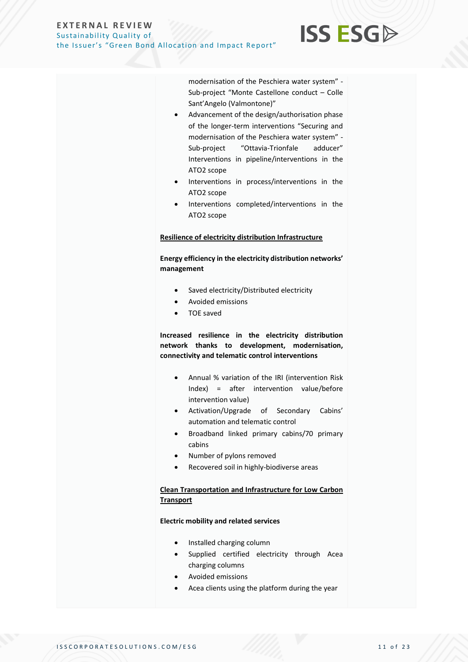#### modernisation of the Peschiera water system" - Sub-project "Monte Castellone conduct – Colle Sant'Angelo (Valmontone)"

**ISS ESG** 

- Advancement of the design/authorisation phase of the longer-term interventions "Securing and modernisation of the Peschiera water system" - Sub-project "Ottavia-Trionfale adducer" Interventions in pipeline/interventions in the ATO2 scope
- Interventions in process/interventions in the ATO2 scope
- Interventions completed/interventions in the ATO2 scope

#### **Resilience of electricity distribution Infrastructure**

**Energy efficiency in the electricity distribution networks' management**

- Saved electricity/Distributed electricity
- Avoided emissions
- TOE saved

**Increased resilience in the electricity distribution network thanks to development, modernisation, connectivity and telematic control interventions**

- Annual % variation of the IRI (intervention Risk Index) = after intervention value/before intervention value)
- Activation/Upgrade of Secondary Cabins' automation and telematic control
- Broadband linked primary cabins/70 primary cabins
- Number of pylons removed
- Recovered soil in highly-biodiverse areas

#### **Clean Transportation and Infrastructure for Low Carbon Transport**

#### **Electric mobility and related services**

- Installed charging column
- Supplied certified electricity through Acea charging columns
- Avoided emissions
- Acea clients using the platform during the year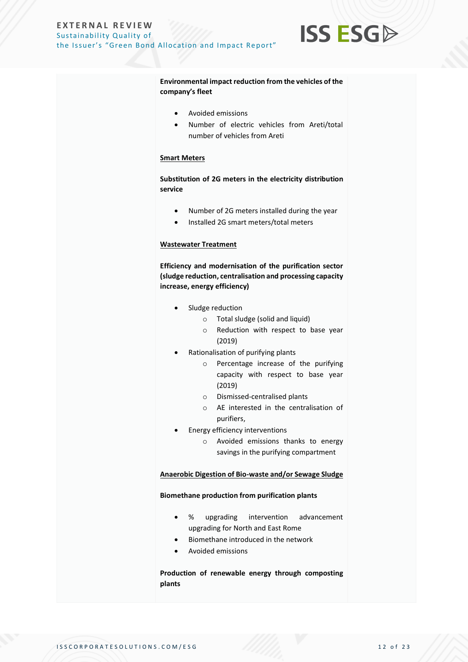

**Environmental impact reduction from the vehicles of the company's fleet**

- Avoided emissions
- Number of electric vehicles from Areti/total number of vehicles from Areti

#### **Smart Meters**

**Substitution of 2G meters in the electricity distribution service**

- Number of 2G meters installed during the year
- Installed 2G smart meters/total meters

#### **Wastewater Treatment**

**Efficiency and modernisation of the purification sector (sludge reduction, centralisation and processing capacity increase, energy efficiency)**

- Sludge reduction
	- o Total sludge (solid and liquid)
	- o Reduction with respect to base year (2019)
- Rationalisation of purifying plants
	- o Percentage increase of the purifying capacity with respect to base year (2019)
	- o Dismissed-centralised plants
	- o AE interested in the centralisation of purifiers,
- Energy efficiency interventions
	- o Avoided emissions thanks to energy savings in the purifying compartment

#### **Anaerobic Digestion of Bio-waste and/or Sewage Sludge**

#### **Biomethane production from purification plants**

- % upgrading intervention advancement upgrading for North and East Rome
- Biomethane introduced in the network
- Avoided emissions

**Production of renewable energy through composting plants**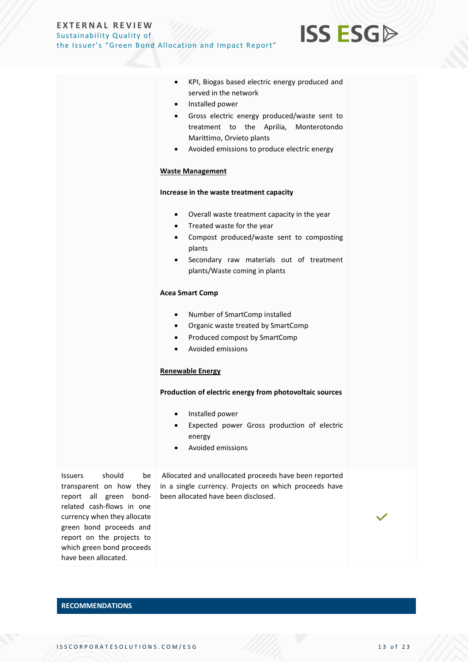

**ISS ESG** 

**RECOMMENDATIONS**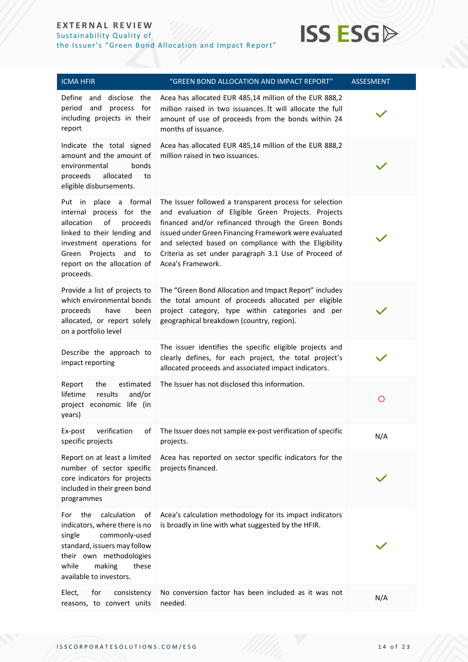#### **E X T E R N A L R E V I E W** Sustainability Quality of

the Issuer's "Green Bond Allocation and Impact Report"

## **ISS ESG**

| <b>ICMA HFIR</b>                                                                                                                                                                                                                  | "GREEN BOND ALLOCATION AND IMPACT REPORT"                                                                                                                                                                                                                                                                                                                            | <b>ASSESMENT</b> |
|-----------------------------------------------------------------------------------------------------------------------------------------------------------------------------------------------------------------------------------|----------------------------------------------------------------------------------------------------------------------------------------------------------------------------------------------------------------------------------------------------------------------------------------------------------------------------------------------------------------------|------------------|
| Define<br>and disclose the<br>period<br>and<br>process for<br>including projects in their<br>report                                                                                                                               | Acea has allocated EUR 485,14 million of the EUR 888,2<br>million raised in two issuances. It will allocate the full<br>amount of use of proceeds from the bonds within 24<br>months of issuance.                                                                                                                                                                    |                  |
| Indicate the total signed<br>amount and the amount of<br>environmental<br>bonds<br>proceeds<br>allocated<br>to<br>eligible disbursements.                                                                                         | Acea has allocated EUR 485,14 million of the EUR 888,2<br>million raised in two issuances.                                                                                                                                                                                                                                                                           |                  |
| place<br>a formal<br>Put in<br>internal process for the<br>of<br>allocation<br>proceeds<br>linked to their lending and<br>investment operations for<br>Projects<br>and<br>Green<br>to<br>report on the allocation of<br>proceeds. | The Issuer followed a transparent process for selection<br>and evaluation of Eligible Green Projects. Projects<br>financed and/or refinanced through the Green Bonds<br>issued under Green Financing Framework were evaluated<br>and selected based on compliance with the Eligibility<br>Criteria as set under paragraph 3.1 Use of Proceed of<br>Acea's Framework. |                  |
| Provide a list of projects to<br>which environmental bonds<br>proceeds<br>have<br>been<br>allocated, or report solely<br>on a portfolio level                                                                                     | The "Green Bond Allocation and Impact Report" includes<br>the total amount of proceeds allocated per eligible<br>project category, type within categories and per<br>geographical breakdown (country, region).                                                                                                                                                       |                  |
| Describe the approach to<br>impact reporting                                                                                                                                                                                      | The issuer identifies the specific eligible projects and<br>clearly defines, for each project, the total project's<br>allocated proceeds and associated impact indicators.                                                                                                                                                                                           |                  |
| Report<br>the<br>estimated<br>lifetime<br>results<br>and/or<br>project economic life (in<br>years)                                                                                                                                | The Issuer has not disclosed this information.                                                                                                                                                                                                                                                                                                                       | O                |
| Ex-post<br>verification<br>of<br>specific projects                                                                                                                                                                                | The Issuer does not sample ex-post verification of specific<br>projects.                                                                                                                                                                                                                                                                                             | N/A              |
| Report on at least a limited<br>number of sector specific<br>core indicators for projects<br>included in their green bond<br>programmes                                                                                           | Acea has reported on sector specific indicators for the<br>projects financed.                                                                                                                                                                                                                                                                                        |                  |
| calculation<br>the<br>of<br>For<br>indicators, where there is no<br>commonly-used<br>single<br>standard, issuers may follow<br>their own methodologies<br>while<br>making<br>these<br>available to investors.                     | Acea's calculation methodology for its impact indicators<br>is broadly in line with what suggested by the HFIR.                                                                                                                                                                                                                                                      |                  |
| Elect,<br>for<br>consistency<br>reasons, to convert units                                                                                                                                                                         | No conversion factor has been included as it was not<br>needed.                                                                                                                                                                                                                                                                                                      | N/A              |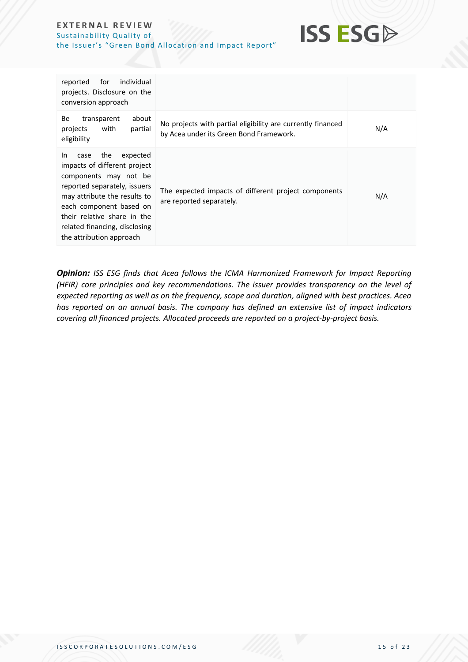

| individual<br>for<br>reported<br>projects. Disclosure on the<br>conversion approach                                                                                                                                                                                            |                                                                                                        |     |
|--------------------------------------------------------------------------------------------------------------------------------------------------------------------------------------------------------------------------------------------------------------------------------|--------------------------------------------------------------------------------------------------------|-----|
| about<br>Be<br>transparent<br>with<br>partial<br>projects<br>eligibility                                                                                                                                                                                                       | No projects with partial eligibility are currently financed<br>by Acea under its Green Bond Framework. | N/A |
| the<br>expected<br>In.<br>case<br>impacts of different project<br>components may not be<br>reported separately, issuers<br>may attribute the results to<br>each component based on<br>their relative share in the<br>related financing, disclosing<br>the attribution approach | The expected impacts of different project components<br>are reported separately.                       | N/A |

*Opinion: ISS ESG finds that Acea follows the ICMA Harmonized Framework for Impact Reporting (HFIR) core principles and key recommendations. The issuer provides transparency on the level of expected reporting as well as on the frequency, scope and duration, aligned with best practices. Acea has reported on an annual basis. The company has defined an extensive list of impact indicators covering all financed projects. Allocated proceeds are reported on a project-by-project basis.*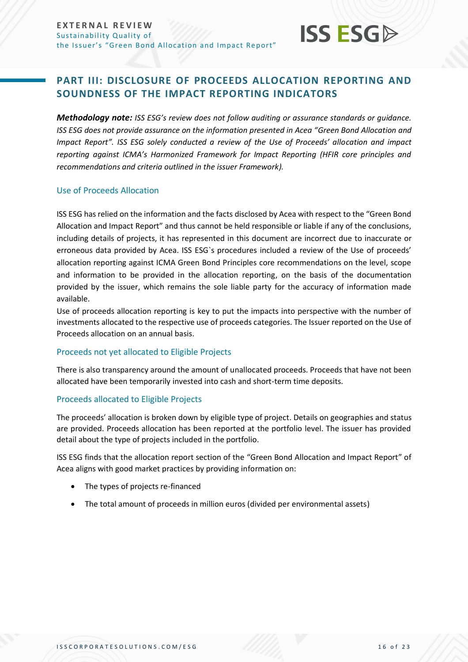

### <span id="page-15-0"></span>**PART III: DISCLOSURE OF PROCEEDS ALLOCATION REPORTING AND SOUNDNESS OF THE IMPACT REPORTING INDICATORS**

*Methodology note: ISS ESG's review does not follow auditing or assurance standards or guidance. ISS ESG does not provide assurance on the information presented in Acea "Green Bond Allocation and Impact Report". ISS ESG solely conducted a review of the Use of Proceeds' allocation and impact reporting against ICMA's Harmonized Framework for Impact Reporting (HFIR core principles and recommendations and criteria outlined in the issuer Framework).*

#### Use of Proceeds Allocation

ISS ESG has relied on the information and the facts disclosed by Acea with respect to the "Green Bond Allocation and Impact Report" and thus cannot be held responsible or liable if any of the conclusions, including details of projects, it has represented in this document are incorrect due to inaccurate or erroneous data provided by Acea. ISS ESG`s procedures included a review of the Use of proceeds' allocation reporting against ICMA Green Bond Principles core recommendations on the level, scope and information to be provided in the allocation reporting, on the basis of the documentation provided by the issuer, which remains the sole liable party for the accuracy of information made available.

Use of proceeds allocation reporting is key to put the impacts into perspective with the number of investments allocated to the respective use of proceeds categories. The Issuer reported on the Use of Proceeds allocation on an annual basis.

#### Proceeds not yet allocated to Eligible Projects

There is also transparency around the amount of unallocated proceeds. Proceeds that have not been allocated have been temporarily invested into cash and short-term time deposits.

#### Proceeds allocated to Eligible Projects

The proceeds' allocation is broken down by eligible type of project. Details on geographies and status are provided. Proceeds allocation has been reported at the portfolio level. The issuer has provided detail about the type of projects included in the portfolio.

ISS ESG finds that the allocation report section of the "Green Bond Allocation and Impact Report" of Acea aligns with good market practices by providing information on:

- The types of projects re-financed
- The total amount of proceeds in million euros (divided per environmental assets)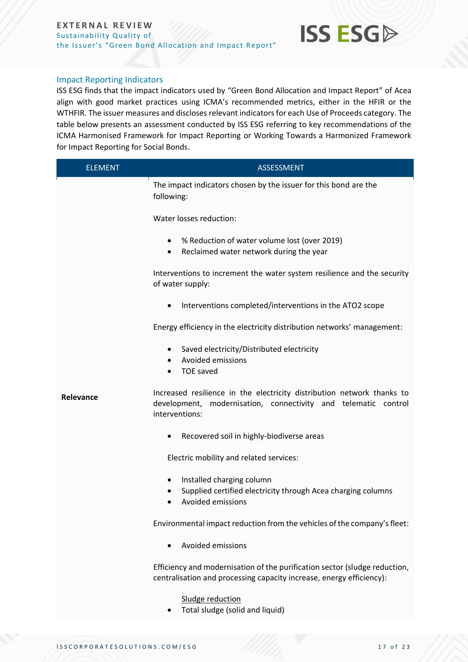

#### Impact Reporting Indicators

ISS ESG finds that the impact indicators used by "Green Bond Allocation and Impact Report" of Acea align with good market practices using ICMA's recommended metrics, either in the HFIR or the WTHFIR. The issuer measures and discloses relevant indicators for each Use of Proceeds category. The table below presents an assessment conducted by ISS ESG referring to key recommendations of the ICMA Harmonised Framework for Impact Reporting or Working Towards a Harmonized Framework for Impact Reporting for Social Bonds.

| <b>ELEMENT</b> | ASSESSMENT                                                                                                                                                 |  |
|----------------|------------------------------------------------------------------------------------------------------------------------------------------------------------|--|
|                | The impact indicators chosen by the issuer for this bond are the<br>following:                                                                             |  |
|                | Water losses reduction:                                                                                                                                    |  |
|                | • % Reduction of water volume lost (over 2019)<br>Reclaimed water network during the year                                                                  |  |
|                | Interventions to increment the water system resilience and the security<br>of water supply:                                                                |  |
|                | Interventions completed/interventions in the ATO2 scope                                                                                                    |  |
|                | Energy efficiency in the electricity distribution networks' management:                                                                                    |  |
|                | Saved electricity/Distributed electricity<br>Avoided emissions<br><b>TOE saved</b>                                                                         |  |
| Relevance      | Increased resilience in the electricity distribution network thanks to<br>development, modernisation, connectivity and telematic control<br>interventions: |  |
|                | Recovered soil in highly-biodiverse areas<br>٠                                                                                                             |  |
|                | Electric mobility and related services:                                                                                                                    |  |
|                | Installed charging column<br>٠<br>Supplied certified electricity through Acea charging columns<br><b>Avoided emissions</b>                                 |  |
|                | Environmental impact reduction from the vehicles of the company's fleet:                                                                                   |  |
|                | Avoided emissions                                                                                                                                          |  |
|                | Efficiency and modernisation of the purification sector (sludge reduction,<br>centralisation and processing capacity increase, energy efficiency):         |  |
|                | Sludge reduction<br>Total sludge (solid and liquid)                                                                                                        |  |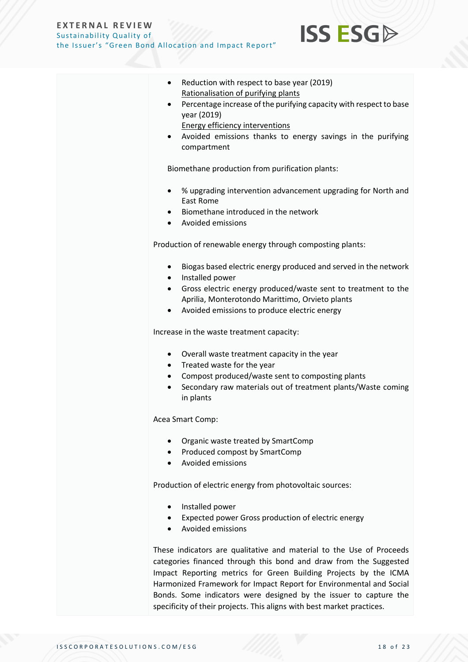

- Reduction with respect to base year (2019) Rationalisation of purifying plants
- Percentage increase of the purifying capacity with respect to base year (2019)
	- Energy efficiency interventions
- Avoided emissions thanks to energy savings in the purifying compartment

Biomethane production from purification plants:

- % upgrading intervention advancement upgrading for North and East Rome
- Biomethane introduced in the network
- Avoided emissions

Production of renewable energy through composting plants:

- Biogas based electric energy produced and served in the network
- Installed power
- Gross electric energy produced/waste sent to treatment to the Aprilia, Monterotondo Marittimo, Orvieto plants
- Avoided emissions to produce electric energy

Increase in the waste treatment capacity:

- Overall waste treatment capacity in the year
- Treated waste for the year
- Compost produced/waste sent to composting plants
- Secondary raw materials out of treatment plants/Waste coming in plants

Acea Smart Comp:

- Organic waste treated by SmartComp
- Produced compost by SmartComp
- Avoided emissions

Production of electric energy from photovoltaic sources:

- Installed power
- Expected power Gross production of electric energy
- Avoided emissions

These indicators are qualitative and material to the Use of Proceeds categories financed through this bond and draw from the Suggested Impact Reporting metrics for Green Building Projects by the ICMA Harmonized Framework for Impact Report for Environmental and Social Bonds. Some indicators were designed by the issuer to capture the specificity of their projects. This aligns with best market practices.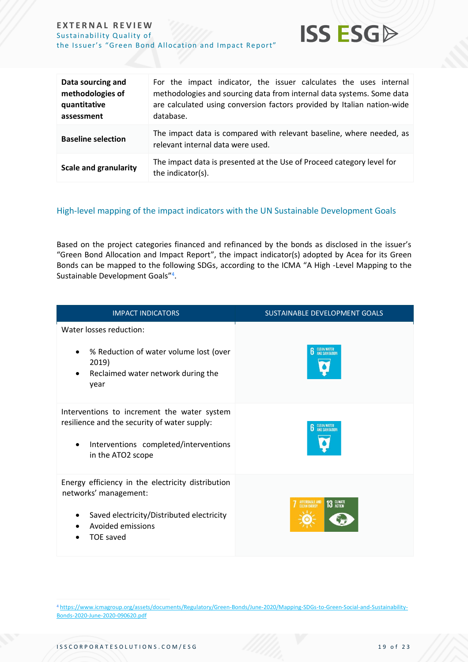

**ISS ESG** 

#### High-level mapping of the impact indicators with the UN Sustainable Development Goals

Based on the project categories financed and refinanced by the bonds as disclosed in the issuer's "Green Bond Allocation and Impact Report", the impact indicator(s) adopted by Acea for its Green Bonds can be mapped to the following SDGs, according to the ICMA "A High -Level Mapping to the Sustainable Development Goals"<sup>4</sup>.

| <b>IMPACT INDICATORS</b>                                                                                                                                               | <b>SUSTAINABLE DEVELOPMENT GOALS</b> |
|------------------------------------------------------------------------------------------------------------------------------------------------------------------------|--------------------------------------|
| Water losses reduction:<br>% Reduction of water volume lost (over<br>$\bullet$<br>2019)<br>Reclaimed water network during the<br>$\bullet$<br>year                     | <b>CLEAN WATER</b>                   |
| Interventions to increment the water system<br>resilience and the security of water supply:<br>Interventions completed/interventions<br>$\bullet$<br>in the ATO2 scope | <b>CLEAN WATER</b><br>AND SANITATION |
| Energy efficiency in the electricity distribution<br>networks' management:<br>Saved electricity/Distributed electricity<br>Avoided emissions<br><b>TOE saved</b>       | AFFORDABLE AND<br>13 GLIMATE         |

<sup>4</sup> [https://www.icmagroup.org/assets/documents/Regulatory/Green-Bonds/June-2020/Mapping-SDGs-to-Green-Social-and-Sustainability-](https://www.icmagroup.org/assets/documents/Regulatory/Green-Bonds/June-2020/Mapping-SDGs-to-Green-Social-and-Sustainability-Bonds-2020-June-2020-090620.pdf)[Bonds-2020-June-2020-090620.pdf](https://www.icmagroup.org/assets/documents/Regulatory/Green-Bonds/June-2020/Mapping-SDGs-to-Green-Social-and-Sustainability-Bonds-2020-June-2020-090620.pdf)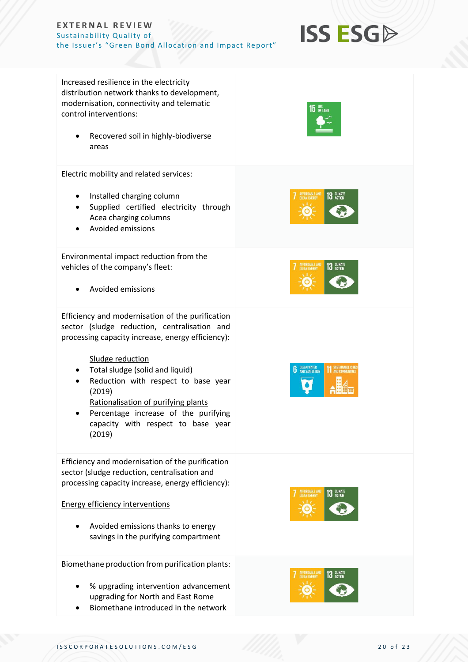

Increased resilience in the electricity distribution network thanks to development, modernisation, connectivity and telematic control interventions:

• Recovered soil in highly-biodiverse areas

Electric mobility and related services:

- Installed charging column
- Supplied certified electricity through Acea charging columns
- Avoided emissions

Environmental impact reduction from the vehicles of the company's fleet:

• Avoided emissions

Efficiency and modernisation of the purification sector (sludge reduction, centralisation and processing capacity increase, energy efficiency):

Sludge reduction

- Total sludge (solid and liquid)
- Reduction with respect to base year (2019)
	- Rationalisation of purifying plants
- Percentage increase of the purifying capacity with respect to base year (2019)

Efficiency and modernisation of the purification sector (sludge reduction, centralisation and processing capacity increase, energy efficiency):

#### Energy efficiency interventions

• Avoided emissions thanks to energy savings in the purifying compartment

Biomethane production from purification plants:

- % upgrading intervention advancement upgrading for North and East Rome
- Biomethane introduced in the network



 $15$  ON LAND







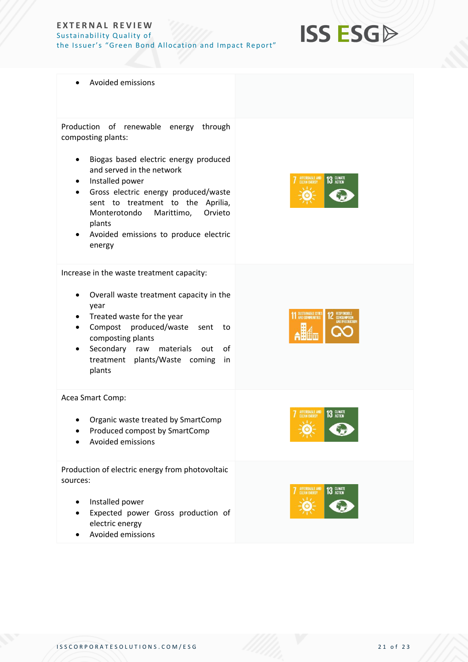

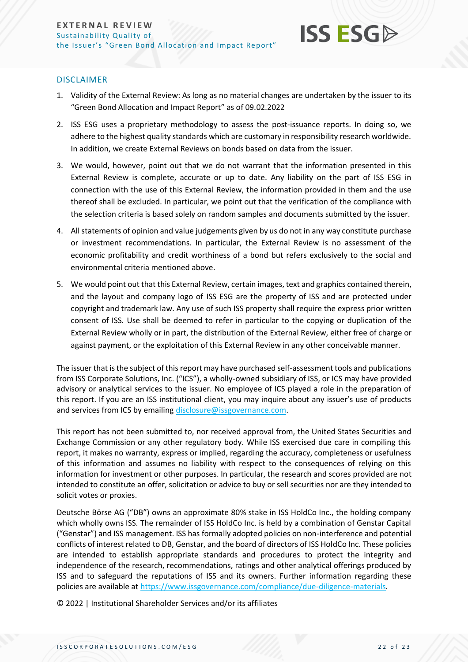## **ISS ESG**

#### DISCLAIMER

- 1. Validity of the External Review: As long as no material changes are undertaken by the issuer to its "Green Bond Allocation and Impact Report" as of 09.02.2022
- 2. ISS ESG uses a proprietary methodology to assess the post-issuance reports. In doing so, we adhere to the highest quality standards which are customary in responsibility research worldwide. In addition, we create External Reviews on bonds based on data from the issuer.
- 3. We would, however, point out that we do not warrant that the information presented in this External Review is complete, accurate or up to date. Any liability on the part of ISS ESG in connection with the use of this External Review, the information provided in them and the use thereof shall be excluded. In particular, we point out that the verification of the compliance with the selection criteria is based solely on random samples and documents submitted by the issuer.
- 4. All statements of opinion and value judgements given by us do not in any way constitute purchase or investment recommendations. In particular, the External Review is no assessment of the economic profitability and credit worthiness of a bond but refers exclusively to the social and environmental criteria mentioned above.
- 5. We would point out that this External Review, certain images, text and graphics contained therein, and the layout and company logo of ISS ESG are the property of ISS and are protected under copyright and trademark law. Any use of such ISS property shall require the express prior written consent of ISS. Use shall be deemed to refer in particular to the copying or duplication of the External Review wholly or in part, the distribution of the External Review, either free of charge or against payment, or the exploitation of this External Review in any other conceivable manner.

The issuer that is the subject of this report may have purchased self-assessment tools and publications from ISS Corporate Solutions, Inc. ("ICS"), a wholly-owned subsidiary of ISS, or ICS may have provided advisory or analytical services to the issuer. No employee of ICS played a role in the preparation of this report. If you are an ISS institutional client, you may inquire about any issuer's use of products and services from ICS by emailing [disclosure@issgovernance.com.](mailto:disclosure@issgovernance.com)

This report has not been submitted to, nor received approval from, the United States Securities and Exchange Commission or any other regulatory body. While ISS exercised due care in compiling this report, it makes no warranty, express or implied, regarding the accuracy, completeness or usefulness of this information and assumes no liability with respect to the consequences of relying on this information for investment or other purposes. In particular, the research and scores provided are not intended to constitute an offer, solicitation or advice to buy or sell securities nor are they intended to solicit votes or proxies.

Deutsche Börse AG ("DB") owns an approximate 80% stake in ISS HoldCo Inc., the holding company which wholly owns ISS. The remainder of ISS HoldCo Inc. is held by a combination of Genstar Capital ("Genstar") and ISS management. ISS has formally adopted policies on non-interference and potential conflicts of interest related to DB, Genstar, and the board of directors of ISS HoldCo Inc. These policies are intended to establish appropriate standards and procedures to protect the integrity and independence of the research, recommendations, ratings and other analytical offerings produced by ISS and to safeguard the reputations of ISS and its owners. Further information regarding these policies are available at [https://www.issgovernance.com/compliance/due-diligence-materials.](https://www.issgovernance.com/compliance/due-diligence-materials)

© 2022 | Institutional Shareholder Services and/or its affiliates